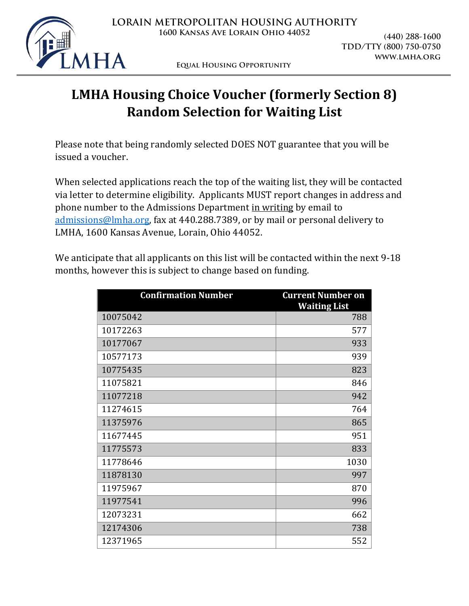

**Equal Housing Opportunity**

# **LMHA Housing Choice Voucher (formerly Section 8) Random Selection for Waiting List**

Please note that being randomly selected DOES NOT guarantee that you will be issued a voucher.

When selected applications reach the top of the waiting list, they will be contacted via letter to determine eligibility. Applicants MUST report changes in address and phone number to the Admissions Department in writing by email to [admissions@lmha.org,](mailto:admissions@lmha.org) fax at 440.288.7389, or by mail or personal delivery to LMHA, 1600 Kansas Avenue, Lorain, Ohio 44052.

We anticipate that all applicants on this list will be contacted within the next 9-18 months, however this is subject to change based on funding.

| <b>Confirmation Number</b> | <b>Current Number on</b><br><b>Waiting List</b> |
|----------------------------|-------------------------------------------------|
| 10075042                   | 788                                             |
| 10172263                   | 577                                             |
| 10177067                   | 933                                             |
| 10577173                   | 939                                             |
| 10775435                   | 823                                             |
| 11075821                   | 846                                             |
| 11077218                   | 942                                             |
| 11274615                   | 764                                             |
| 11375976                   | 865                                             |
| 11677445                   | 951                                             |
| 11775573                   | 833                                             |
| 11778646                   | 1030                                            |
| 11878130                   | 997                                             |
| 11975967                   | 870                                             |
| 11977541                   | 996                                             |
| 12073231                   | 662                                             |
| 12174306                   | 738                                             |
| 12371965                   | 552                                             |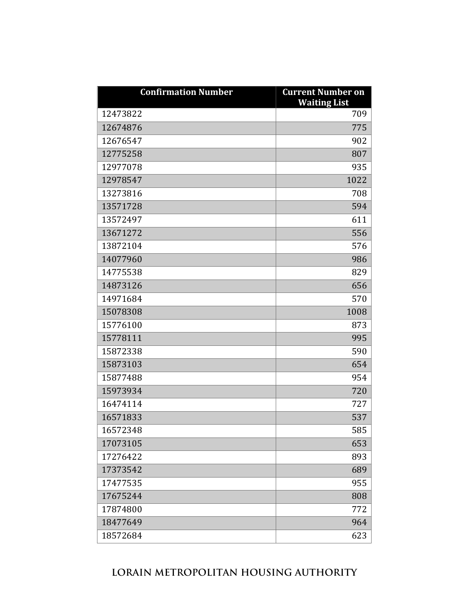| <b>Confirmation Number</b> | <b>Current Number on</b><br><b>Waiting List</b> |
|----------------------------|-------------------------------------------------|
| 12473822                   | 709                                             |
| 12674876                   | 775                                             |
| 12676547                   | 902                                             |
| 12775258                   | 807                                             |
| 12977078                   | 935                                             |
| 12978547                   | 1022                                            |
| 13273816                   | 708                                             |
| 13571728                   | 594                                             |
| 13572497                   | 611                                             |
| 13671272                   | 556                                             |
| 13872104                   | 576                                             |
| 14077960                   | 986                                             |
| 14775538                   | 829                                             |
| 14873126                   | 656                                             |
| 14971684                   | 570                                             |
| 15078308                   | 1008                                            |
| 15776100                   | 873                                             |
| 15778111                   | 995                                             |
| 15872338                   | 590                                             |
| 15873103                   | 654                                             |
| 15877488                   | 954                                             |
| 15973934                   | 720                                             |
| 16474114                   | 727                                             |
| 16571833                   | 537                                             |
| 16572348                   | 585                                             |
| 17073105                   | 653                                             |
| 17276422                   | 893                                             |
| 17373542                   | 689                                             |
| 17477535                   | 955                                             |
| 17675244                   | 808                                             |
| 17874800                   | 772                                             |
| 18477649                   | 964                                             |
| 18572684                   | 623                                             |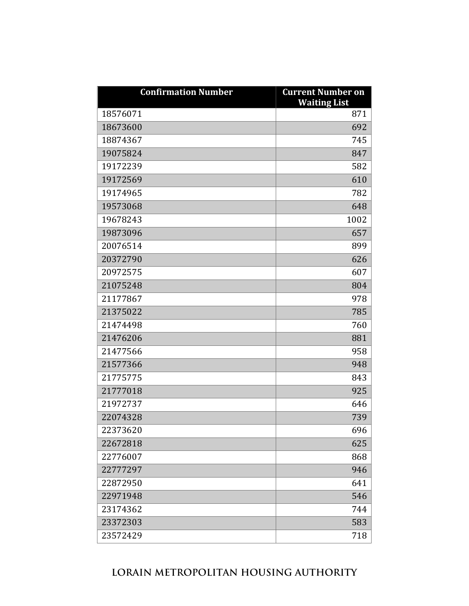| <b>Confirmation Number</b> | <b>Current Number on</b><br><b>Waiting List</b> |
|----------------------------|-------------------------------------------------|
| 18576071                   | 871                                             |
| 18673600                   | 692                                             |
| 18874367                   | 745                                             |
| 19075824                   | 847                                             |
| 19172239                   | 582                                             |
| 19172569                   | 610                                             |
| 19174965                   | 782                                             |
| 19573068                   | 648                                             |
| 19678243                   | 1002                                            |
| 19873096                   | 657                                             |
| 20076514                   | 899                                             |
| 20372790                   | 626                                             |
| 20972575                   | 607                                             |
| 21075248                   | 804                                             |
| 21177867                   | 978                                             |
| 21375022                   | 785                                             |
| 21474498                   | 760                                             |
| 21476206                   | 881                                             |
| 21477566                   | 958                                             |
| 21577366                   | 948                                             |
| 21775775                   | 843                                             |
| 21777018                   | 925                                             |
| 21972737                   | 646                                             |
| 22074328                   | 739                                             |
| 22373620                   | 696                                             |
| 22672818                   | 625                                             |
| 22776007                   | 868                                             |
| 22777297                   | 946                                             |
| 22872950                   | 641                                             |
| 22971948                   | 546                                             |
| 23174362                   | 744                                             |
| 23372303                   | 583                                             |
| 23572429                   | 718                                             |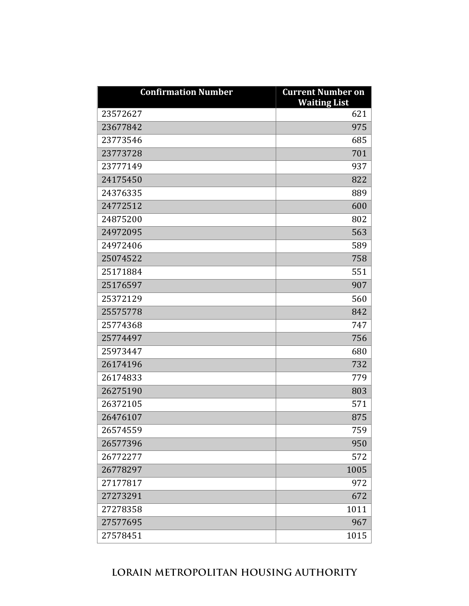| <b>Confirmation Number</b> | <b>Current Number on</b><br><b>Waiting List</b> |
|----------------------------|-------------------------------------------------|
| 23572627                   | 621                                             |
| 23677842                   | 975                                             |
| 23773546                   | 685                                             |
| 23773728                   | 701                                             |
| 23777149                   | 937                                             |
| 24175450                   | 822                                             |
| 24376335                   | 889                                             |
| 24772512                   | 600                                             |
| 24875200                   | 802                                             |
| 24972095                   | 563                                             |
| 24972406                   | 589                                             |
| 25074522                   | 758                                             |
| 25171884                   | 551                                             |
| 25176597                   | 907                                             |
| 25372129                   | 560                                             |
| 25575778                   | 842                                             |
| 25774368                   | 747                                             |
| 25774497                   | 756                                             |
| 25973447                   | 680                                             |
| 26174196                   | 732                                             |
| 26174833                   | 779                                             |
| 26275190                   | 803                                             |
| 26372105                   | 571                                             |
| 26476107                   | 875                                             |
| 26574559                   | 759                                             |
| 26577396                   | 950                                             |
| 26772277                   | 572                                             |
| 26778297                   | 1005                                            |
| 27177817                   | 972                                             |
| 27273291                   | 672                                             |
| 27278358                   | 1011                                            |
| 27577695                   | 967                                             |
| 27578451                   | 1015                                            |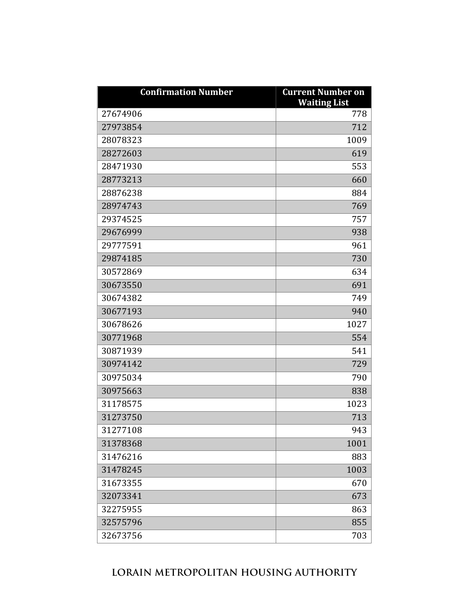| <b>Confirmation Number</b> | <b>Current Number on</b><br><b>Waiting List</b> |
|----------------------------|-------------------------------------------------|
| 27674906                   | 778                                             |
| 27973854                   | 712                                             |
| 28078323                   | 1009                                            |
| 28272603                   | 619                                             |
| 28471930                   | 553                                             |
| 28773213                   | 660                                             |
| 28876238                   | 884                                             |
| 28974743                   | 769                                             |
| 29374525                   | 757                                             |
| 29676999                   | 938                                             |
| 29777591                   | 961                                             |
| 29874185                   | 730                                             |
| 30572869                   | 634                                             |
| 30673550                   | 691                                             |
| 30674382                   | 749                                             |
| 30677193                   | 940                                             |
| 30678626                   | 1027                                            |
| 30771968                   | 554                                             |
| 30871939                   | 541                                             |
| 30974142                   | 729                                             |
| 30975034                   | 790                                             |
| 30975663                   | 838                                             |
| 31178575                   | 1023                                            |
| 31273750                   | 713                                             |
| 31277108                   | 943                                             |
| 31378368                   | 1001                                            |
| 31476216                   | 883                                             |
| 31478245                   | 1003                                            |
| 31673355                   | 670                                             |
| 32073341                   | 673                                             |
| 32275955                   | 863                                             |
| 32575796                   | 855                                             |
| 32673756                   | 703                                             |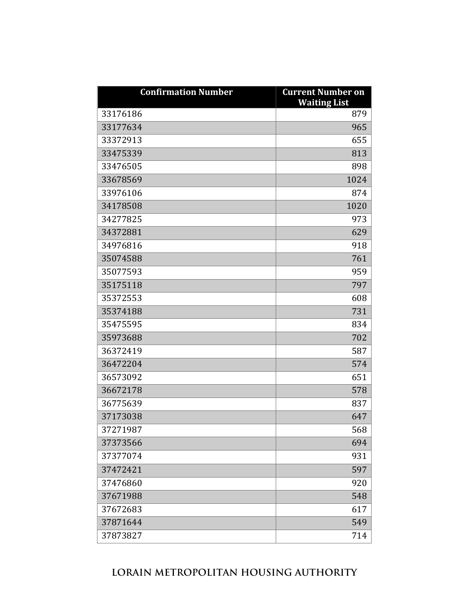| <b>Confirmation Number</b> | <b>Current Number on</b><br><b>Waiting List</b> |
|----------------------------|-------------------------------------------------|
| 33176186                   | 879                                             |
| 33177634                   | 965                                             |
| 33372913                   | 655                                             |
| 33475339                   | 813                                             |
| 33476505                   | 898                                             |
| 33678569                   | 1024                                            |
| 33976106                   | 874                                             |
| 34178508                   | 1020                                            |
| 34277825                   | 973                                             |
| 34372881                   | 629                                             |
| 34976816                   | 918                                             |
| 35074588                   | 761                                             |
| 35077593                   | 959                                             |
| 35175118                   | 797                                             |
| 35372553                   | 608                                             |
| 35374188                   | 731                                             |
| 35475595                   | 834                                             |
| 35973688                   | 702                                             |
| 36372419                   | 587                                             |
| 36472204                   | 574                                             |
| 36573092                   | 651                                             |
| 36672178                   | 578                                             |
| 36775639                   | 837                                             |
| 37173038                   | 647                                             |
| 37271987                   | 568                                             |
| 37373566                   | 694                                             |
| 37377074                   | 931                                             |
| 37472421                   | 597                                             |
| 37476860                   | 920                                             |
| 37671988                   | 548                                             |
| 37672683                   | 617                                             |
| 37871644                   | 549                                             |
| 37873827                   | 714                                             |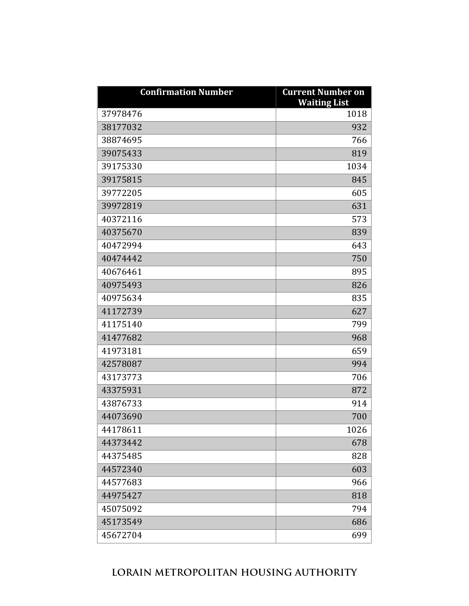| <b>Confirmation Number</b> | <b>Current Number on</b><br><b>Waiting List</b> |
|----------------------------|-------------------------------------------------|
| 37978476                   | 1018                                            |
| 38177032                   | 932                                             |
| 38874695                   | 766                                             |
| 39075433                   | 819                                             |
| 39175330                   | 1034                                            |
| 39175815                   | 845                                             |
| 39772205                   | 605                                             |
| 39972819                   | 631                                             |
| 40372116                   | 573                                             |
| 40375670                   | 839                                             |
| 40472994                   | 643                                             |
| 40474442                   | 750                                             |
| 40676461                   | 895                                             |
| 40975493                   | 826                                             |
| 40975634                   | 835                                             |
| 41172739                   | 627                                             |
| 41175140                   | 799                                             |
| 41477682                   | 968                                             |
| 41973181                   | 659                                             |
| 42578087                   | 994                                             |
| 43173773                   | 706                                             |
| 43375931                   | 872                                             |
| 43876733                   | 914                                             |
| 44073690                   | 700                                             |
| 44178611                   | 1026                                            |
| 44373442                   | 678                                             |
| 44375485                   | 828                                             |
| 44572340                   | 603                                             |
| 44577683                   | 966                                             |
| 44975427                   | 818                                             |
| 45075092                   | 794                                             |
| 45173549                   | 686                                             |
| 45672704                   | 699                                             |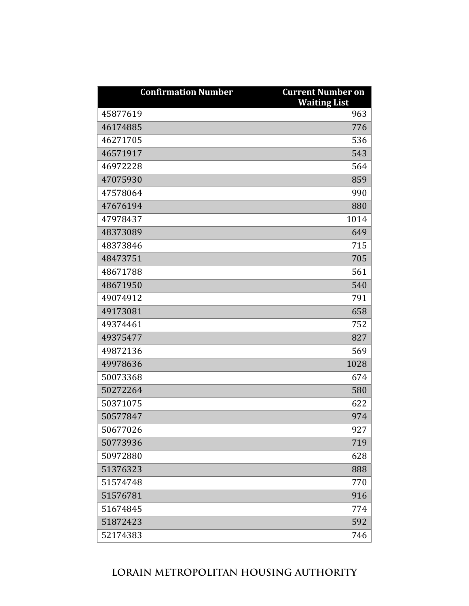| <b>Confirmation Number</b> | <b>Current Number on</b><br><b>Waiting List</b> |
|----------------------------|-------------------------------------------------|
| 45877619                   | 963                                             |
| 46174885                   | 776                                             |
| 46271705                   | 536                                             |
| 46571917                   | 543                                             |
| 46972228                   | 564                                             |
| 47075930                   | 859                                             |
| 47578064                   | 990                                             |
| 47676194                   | 880                                             |
| 47978437                   | 1014                                            |
| 48373089                   | 649                                             |
| 48373846                   | 715                                             |
| 48473751                   | 705                                             |
| 48671788                   | 561                                             |
| 48671950                   | 540                                             |
| 49074912                   | 791                                             |
| 49173081                   | 658                                             |
| 49374461                   | 752                                             |
| 49375477                   | 827                                             |
| 49872136                   | 569                                             |
| 49978636                   | 1028                                            |
| 50073368                   | 674                                             |
| 50272264                   | 580                                             |
| 50371075                   | 622                                             |
| 50577847                   | 974                                             |
| 50677026                   | 927                                             |
| 50773936                   | 719                                             |
| 50972880                   | 628                                             |
| 51376323                   | 888                                             |
| 51574748                   | 770                                             |
| 51576781                   | 916                                             |
| 51674845                   | 774                                             |
| 51872423                   | 592                                             |
| 52174383                   | 746                                             |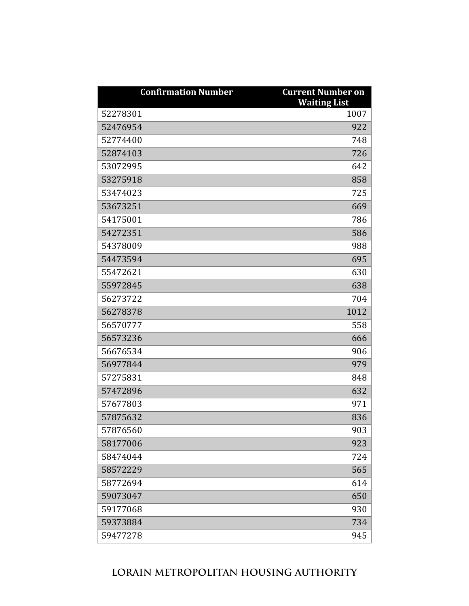| <b>Confirmation Number</b> | <b>Current Number on</b><br><b>Waiting List</b> |
|----------------------------|-------------------------------------------------|
| 52278301                   | 1007                                            |
| 52476954                   | 922                                             |
| 52774400                   | 748                                             |
| 52874103                   | 726                                             |
| 53072995                   | 642                                             |
| 53275918                   | 858                                             |
| 53474023                   | 725                                             |
| 53673251                   | 669                                             |
| 54175001                   | 786                                             |
| 54272351                   | 586                                             |
| 54378009                   | 988                                             |
| 54473594                   | 695                                             |
| 55472621                   | 630                                             |
| 55972845                   | 638                                             |
| 56273722                   | 704                                             |
| 56278378                   | 1012                                            |
| 56570777                   | 558                                             |
| 56573236                   | 666                                             |
| 56676534                   | 906                                             |
| 56977844                   | 979                                             |
| 57275831                   | 848                                             |
| 57472896                   | 632                                             |
| 57677803                   | 971                                             |
| 57875632                   | 836                                             |
| 57876560                   | 903                                             |
| 58177006                   | 923                                             |
| 58474044                   | 724                                             |
| 58572229                   | 565                                             |
| 58772694                   | 614                                             |
| 59073047                   | 650                                             |
| 59177068                   | 930                                             |
| 59373884                   | 734                                             |
| 59477278                   | 945                                             |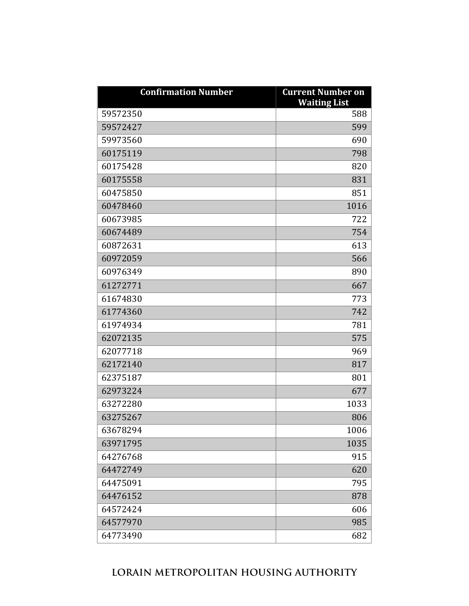| <b>Confirmation Number</b> | <b>Current Number on</b><br><b>Waiting List</b> |
|----------------------------|-------------------------------------------------|
| 59572350                   | 588                                             |
| 59572427                   | 599                                             |
| 59973560                   | 690                                             |
| 60175119                   | 798                                             |
| 60175428                   | 820                                             |
| 60175558                   | 831                                             |
| 60475850                   | 851                                             |
| 60478460                   | 1016                                            |
| 60673985                   | 722                                             |
| 60674489                   | 754                                             |
| 60872631                   | 613                                             |
| 60972059                   | 566                                             |
| 60976349                   | 890                                             |
| 61272771                   | 667                                             |
| 61674830                   | 773                                             |
| 61774360                   | 742                                             |
| 61974934                   | 781                                             |
| 62072135                   | 575                                             |
| 62077718                   | 969                                             |
| 62172140                   | 817                                             |
| 62375187                   | 801                                             |
| 62973224                   | 677                                             |
| 63272280                   | 1033                                            |
| 63275267                   | 806                                             |
| 63678294                   | 1006                                            |
| 63971795                   | 1035                                            |
| 64276768                   | 915                                             |
| 64472749                   | 620                                             |
| 64475091                   | 795                                             |
| 64476152                   | 878                                             |
| 64572424                   | 606                                             |
| 64577970                   | 985                                             |
| 64773490                   | 682                                             |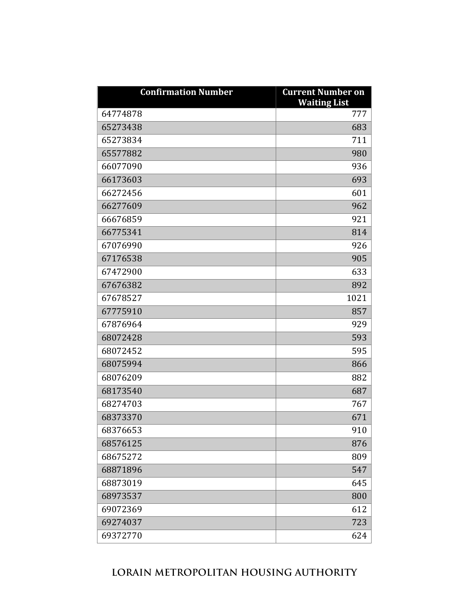| <b>Confirmation Number</b> | <b>Current Number on</b><br><b>Waiting List</b> |
|----------------------------|-------------------------------------------------|
| 64774878                   | 777                                             |
| 65273438                   | 683                                             |
| 65273834                   | 711                                             |
| 65577882                   | 980                                             |
| 66077090                   | 936                                             |
| 66173603                   | 693                                             |
| 66272456                   | 601                                             |
| 66277609                   | 962                                             |
| 66676859                   | 921                                             |
| 66775341                   | 814                                             |
| 67076990                   | 926                                             |
| 67176538                   | 905                                             |
| 67472900                   | 633                                             |
| 67676382                   | 892                                             |
| 67678527                   | 1021                                            |
| 67775910                   | 857                                             |
| 67876964                   | 929                                             |
| 68072428                   | 593                                             |
| 68072452                   | 595                                             |
| 68075994                   | 866                                             |
| 68076209                   | 882                                             |
| 68173540                   | 687                                             |
| 68274703                   | 767                                             |
| 68373370                   | 671                                             |
| 68376653                   | 910                                             |
| 68576125                   | 876                                             |
| 68675272                   | 809                                             |
| 68871896                   | 547                                             |
| 68873019                   | 645                                             |
| 68973537                   | 800                                             |
| 69072369                   | 612                                             |
| 69274037                   | 723                                             |
| 69372770                   | 624                                             |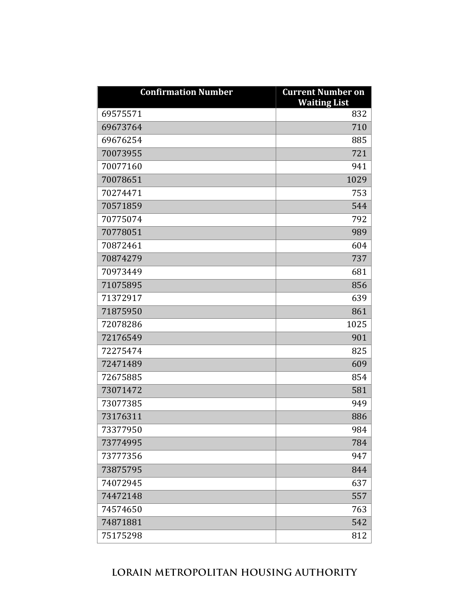| <b>Confirmation Number</b> | <b>Current Number on</b><br><b>Waiting List</b> |
|----------------------------|-------------------------------------------------|
| 69575571                   | 832                                             |
| 69673764                   | 710                                             |
| 69676254                   | 885                                             |
| 70073955                   | 721                                             |
| 70077160                   | 941                                             |
| 70078651                   | 1029                                            |
| 70274471                   | 753                                             |
| 70571859                   | 544                                             |
| 70775074                   | 792                                             |
| 70778051                   | 989                                             |
| 70872461                   | 604                                             |
| 70874279                   | 737                                             |
| 70973449                   | 681                                             |
| 71075895                   | 856                                             |
| 71372917                   | 639                                             |
| 71875950                   | 861                                             |
| 72078286                   | 1025                                            |
| 72176549                   | 901                                             |
| 72275474                   | 825                                             |
| 72471489                   | 609                                             |
| 72675885                   | 854                                             |
| 73071472                   | 581                                             |
| 73077385                   | 949                                             |
| 73176311                   | 886                                             |
| 73377950                   | 984                                             |
| 73774995                   | 784                                             |
| 73777356                   | 947                                             |
| 73875795                   | 844                                             |
| 74072945                   | 637                                             |
| 74472148                   | 557                                             |
| 74574650                   | 763                                             |
| 74871881                   | 542                                             |
| 75175298                   | 812                                             |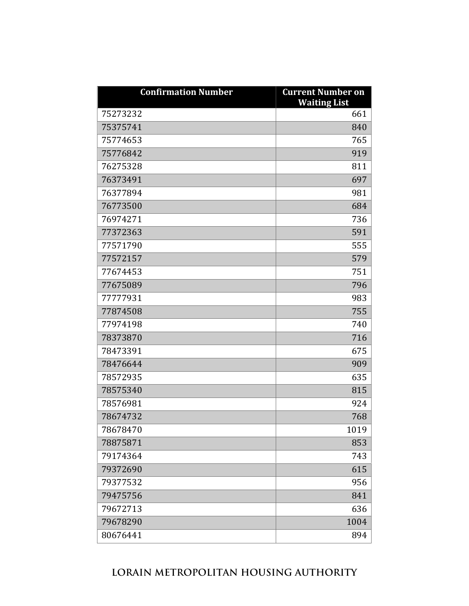| <b>Confirmation Number</b> | <b>Current Number on</b><br><b>Waiting List</b> |
|----------------------------|-------------------------------------------------|
| 75273232                   | 661                                             |
| 75375741                   | 840                                             |
| 75774653                   | 765                                             |
| 75776842                   | 919                                             |
| 76275328                   | 811                                             |
| 76373491                   | 697                                             |
| 76377894                   | 981                                             |
| 76773500                   | 684                                             |
| 76974271                   | 736                                             |
| 77372363                   | 591                                             |
| 77571790                   | 555                                             |
| 77572157                   | 579                                             |
| 77674453                   | 751                                             |
| 77675089                   | 796                                             |
| 77777931                   | 983                                             |
| 77874508                   | 755                                             |
| 77974198                   | 740                                             |
| 78373870                   | 716                                             |
| 78473391                   | 675                                             |
| 78476644                   | 909                                             |
| 78572935                   | 635                                             |
| 78575340                   | 815                                             |
| 78576981                   | 924                                             |
| 78674732                   | 768                                             |
| 78678470                   | 1019                                            |
| 78875871                   | 853                                             |
| 79174364                   | 743                                             |
| 79372690                   | 615                                             |
| 79377532                   | 956                                             |
| 79475756                   | 841                                             |
| 79672713                   | 636                                             |
| 79678290                   | 1004                                            |
| 80676441                   | 894                                             |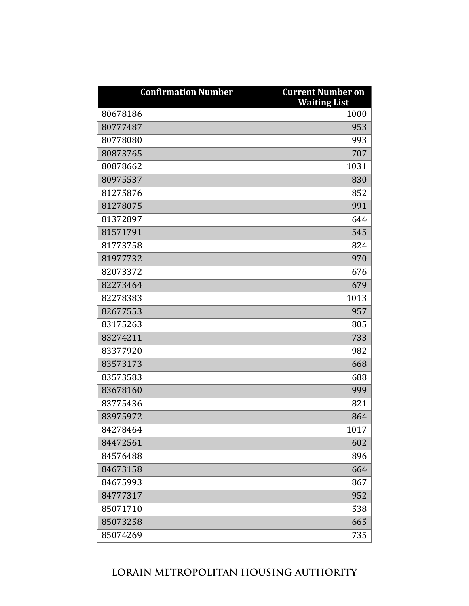| <b>Confirmation Number</b> | <b>Current Number on</b><br><b>Waiting List</b> |
|----------------------------|-------------------------------------------------|
| 80678186                   | 1000                                            |
| 80777487                   | 953                                             |
| 80778080                   | 993                                             |
| 80873765                   | 707                                             |
| 80878662                   | 1031                                            |
| 80975537                   | 830                                             |
| 81275876                   | 852                                             |
| 81278075                   | 991                                             |
| 81372897                   | 644                                             |
| 81571791                   | 545                                             |
| 81773758                   | 824                                             |
| 81977732                   | 970                                             |
| 82073372                   | 676                                             |
| 82273464                   | 679                                             |
| 82278383                   | 1013                                            |
| 82677553                   | 957                                             |
| 83175263                   | 805                                             |
| 83274211                   | 733                                             |
| 83377920                   | 982                                             |
| 83573173                   | 668                                             |
| 83573583                   | 688                                             |
| 83678160                   | 999                                             |
| 83775436                   | 821                                             |
| 83975972                   | 864                                             |
| 84278464                   | 1017                                            |
| 84472561                   | 602                                             |
| 84576488                   | 896                                             |
| 84673158                   | 664                                             |
| 84675993                   | 867                                             |
| 84777317                   | 952                                             |
| 85071710                   | 538                                             |
| 85073258                   | 665                                             |
| 85074269                   | 735                                             |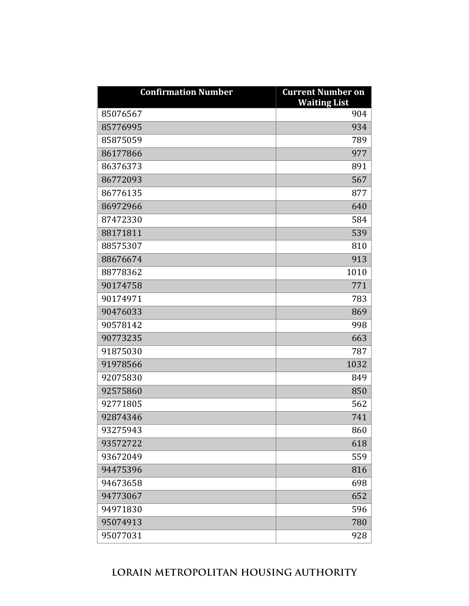| <b>Confirmation Number</b> | <b>Current Number on</b><br><b>Waiting List</b> |
|----------------------------|-------------------------------------------------|
| 85076567                   | 904                                             |
| 85776995                   | 934                                             |
| 85875059                   | 789                                             |
| 86177866                   | 977                                             |
| 86376373                   | 891                                             |
| 86772093                   | 567                                             |
| 86776135                   | 877                                             |
| 86972966                   | 640                                             |
| 87472330                   | 584                                             |
| 88171811                   | 539                                             |
| 88575307                   | 810                                             |
| 88676674                   | 913                                             |
| 88778362                   | 1010                                            |
| 90174758                   | 771                                             |
| 90174971                   | 783                                             |
| 90476033                   | 869                                             |
| 90578142                   | 998                                             |
| 90773235                   | 663                                             |
| 91875030                   | 787                                             |
| 91978566                   | 1032                                            |
| 92075830                   | 849                                             |
| 92575860                   | 850                                             |
| 92771805                   | 562                                             |
| 92874346                   | 741                                             |
| 93275943                   | 860                                             |
| 93572722                   | 618                                             |
| 93672049                   | 559                                             |
| 94475396                   | 816                                             |
| 94673658                   | 698                                             |
| 94773067                   | 652                                             |
| 94971830                   | 596                                             |
| 95074913                   | 780                                             |
| 95077031                   | 928                                             |